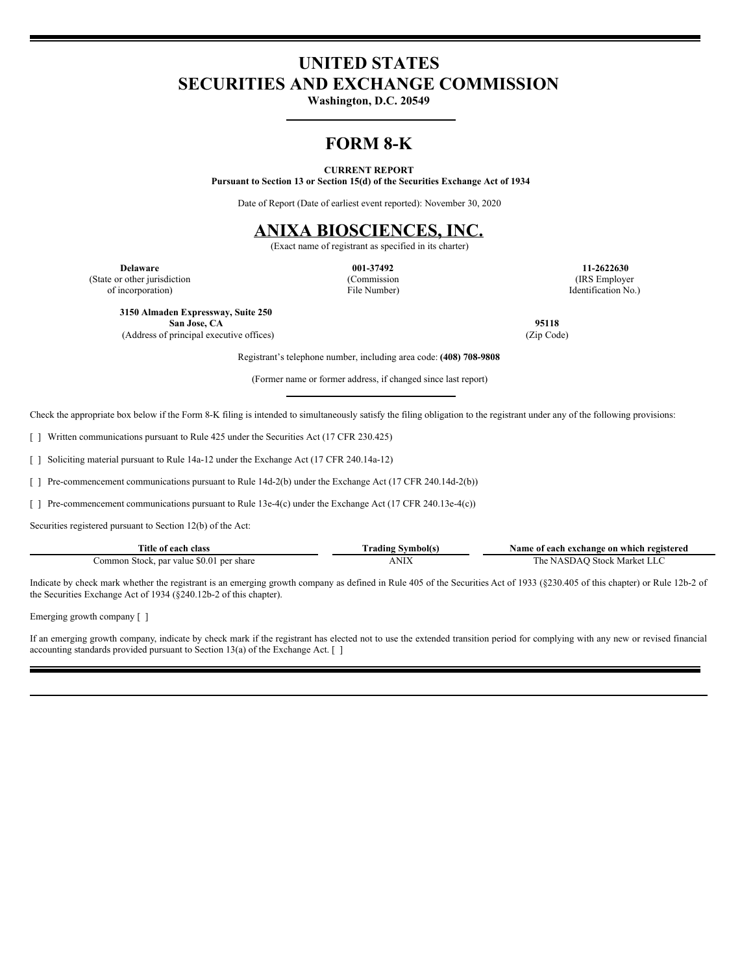# **UNITED STATES SECURITIES AND EXCHANGE COMMISSION**

**Washington, D.C. 20549**

### **FORM 8-K**

### **CURRENT REPORT**

**Pursuant to Section 13 or Section 15(d) of the Securities Exchange Act of 1934**

Date of Report (Date of earliest event reported): November 30, 2020

## **ANIXA BIOSCIENCES, INC.**

(Exact name of registrant as specified in its charter)

(State or other jurisdiction of incorporation)

(Commission File Number)

**Delaware 001-37492 11-2622630** (IRS Employer Identification No.)

**3150 Almaden Expressway, Suite 250 San Jose, CA 95118** (Address of principal executive offices) (Zip Code)

Registrant's telephone number, including area code: **(408) 708-9808**

(Former name or former address, if changed since last report)

Check the appropriate box below if the Form 8-K filing is intended to simultaneously satisfy the filing obligation to the registrant under any of the following provisions:

[ ] Written communications pursuant to Rule 425 under the Securities Act (17 CFR 230.425)

[ ] Soliciting material pursuant to Rule 14a-12 under the Exchange Act (17 CFR 240.14a-12)

[ ] Pre-commencement communications pursuant to Rule 14d-2(b) under the Exchange Act (17 CFR 240.14d-2(b))

[ ] Pre-commencement communications pursuant to Rule 13e-4(c) under the Exchange Act (17 CFR 240.13e-4(c))

Securities registered pursuant to Section 12(b) of the Act:

| <b>Title of</b><br>class<br>each                   | radıng | Name of<br>f each exchange on which registered |
|----------------------------------------------------|--------|------------------------------------------------|
| \$0.01 per share<br>. par value<br>Stock.<br>ommon | ANIX   | -Stock-Market<br>asDAO **<br>. he              |

Indicate by check mark whether the registrant is an emerging growth company as defined in Rule 405 of the Securities Act of 1933 (§230.405 of this chapter) or Rule 12b-2 of the Securities Exchange Act of 1934 (§240.12b-2 of this chapter).

Emerging growth company  $\lceil \ \rceil$ 

If an emerging growth company, indicate by check mark if the registrant has elected not to use the extended transition period for complying with any new or revised financial accounting standards provided pursuant to Section 13(a) of the Exchange Act. [ ]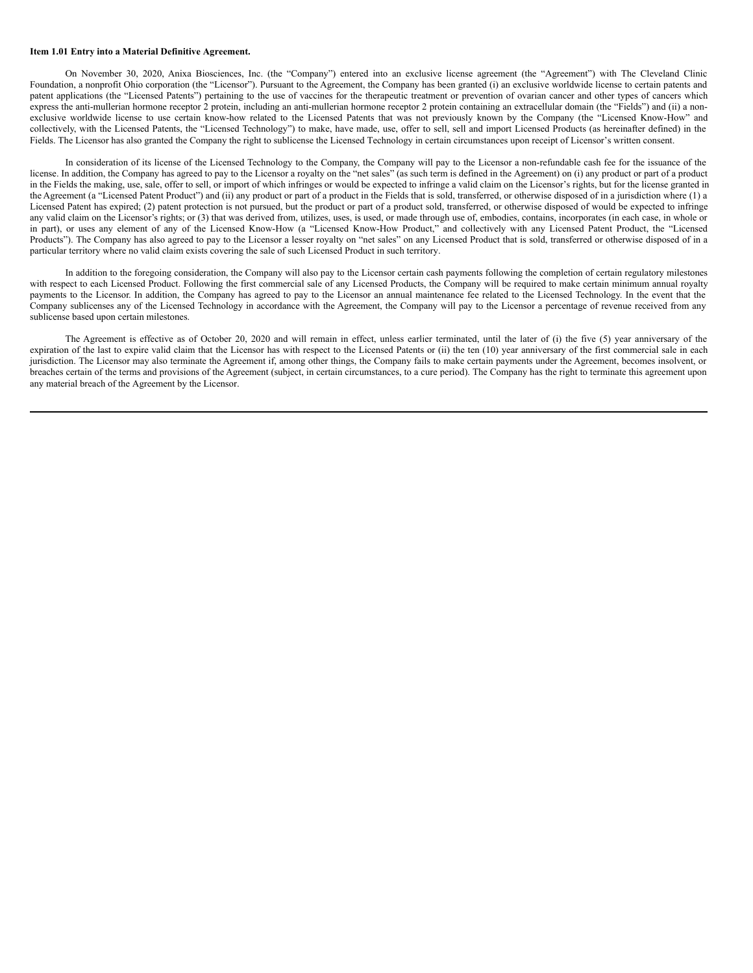#### **Item 1.01 Entry into a Material Definitive Agreement.**

On November 30, 2020, Anixa Biosciences, Inc. (the "Company") entered into an exclusive license agreement (the "Agreement") with The Cleveland Clinic Foundation, a nonprofit Ohio corporation (the "Licensor"). Pursuant to the Agreement, the Company has been granted (i) an exclusive worldwide license to certain patents and patent applications (the "Licensed Patents") pertaining to the use of vaccines for the therapeutic treatment or prevention of ovarian cancer and other types of cancers which express the anti-mullerian hormone receptor 2 protein, including an anti-mullerian hormone receptor 2 protein containing an extracellular domain (the "Fields") and (ii) a nonexclusive worldwide license to use certain know-how related to the Licensed Patents that was not previously known by the Company (the "Licensed Know-How" and collectively, with the Licensed Patents, the "Licensed Technology") to make, have made, use, offer to sell, sell and import Licensed Products (as hereinafter defined) in the Fields. The Licensor has also granted the Company the right to sublicense the Licensed Technology in certain circumstances upon receipt of Licensor's written consent.

In consideration of its license of the Licensed Technology to the Company, the Company will pay to the Licensor a non-refundable cash fee for the issuance of the license. In addition, the Company has agreed to pay to the Licensor a royalty on the "net sales" (as such term is defined in the Agreement) on (i) any product or part of a product in the Fields the making, use, sale, offer to sell, or import of which infringes or would be expected to infringe a valid claim on the Licensor's rights, but for the license granted in the Agreement (a "Licensed Patent Product") and (ii) any product or part of a product in the Fields that is sold, transferred, or otherwise disposed of in a jurisdiction where (1) a Licensed Patent has expired; (2) patent protection is not pursued, but the product or part of a product sold, transferred, or otherwise disposed of would be expected to infringe any valid claim on the Licensor's rights; or (3) that was derived from, utilizes, uses, is used, or made through use of, embodies, contains, incorporates (in each case, in whole or in part), or uses any element of any of the Licensed Know-How (a "Licensed Know-How Product," and collectively with any Licensed Patent Product, the "Licensed Products"). The Company has also agreed to pay to the Licensor a lesser royalty on "net sales" on any Licensed Product that is sold, transferred or otherwise disposed of in a particular territory where no valid claim exists covering the sale of such Licensed Product in such territory.

In addition to the foregoing consideration, the Company will also pay to the Licensor certain cash payments following the completion of certain regulatory milestones with respect to each Licensed Product. Following the first commercial sale of any Licensed Products, the Company will be required to make certain minimum annual royalty payments to the Licensor. In addition, the Company has agreed to pay to the Licensor an annual maintenance fee related to the Licensed Technology. In the event that the Company sublicenses any of the Licensed Technology in accordance with the Agreement, the Company will pay to the Licensor a percentage of revenue received from any sublicense based upon certain milestones.

The Agreement is effective as of October 20, 2020 and will remain in effect, unless earlier terminated, until the later of (i) the five (5) year anniversary of the expiration of the last to expire valid claim that the Licensor has with respect to the Licensed Patents or (ii) the ten (10) year anniversary of the first commercial sale in each jurisdiction. The Licensor may also terminate the Agreement if, among other things, the Company fails to make certain payments under the Agreement, becomes insolvent, or breaches certain of the terms and provisions of the Agreement (subject, in certain circumstances, to a cure period). The Company has the right to terminate this agreement upon any material breach of the Agreement by the Licensor.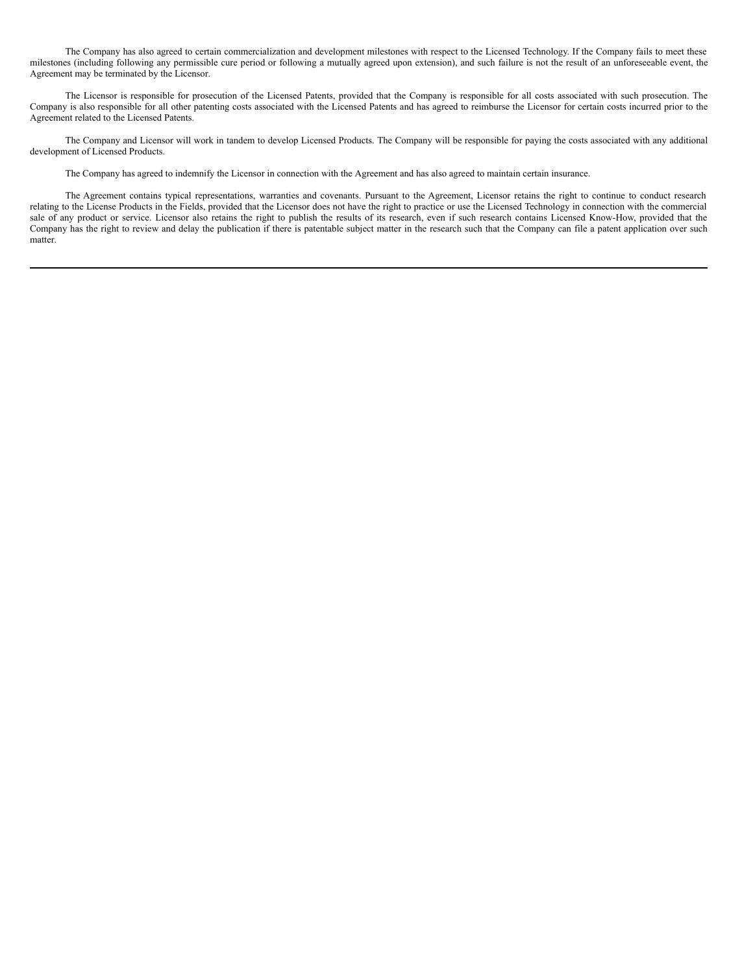The Company has also agreed to certain commercialization and development milestones with respect to the Licensed Technology. If the Company fails to meet these milestones (including following any permissible cure period or following a mutually agreed upon extension), and such failure is not the result of an unforeseeable event, the Agreement may be terminated by the Licensor.

The Licensor is responsible for prosecution of the Licensed Patents, provided that the Company is responsible for all costs associated with such prosecution. The Company is also responsible for all other patenting costs associated with the Licensed Patents and has agreed to reimburse the Licensor for certain costs incurred prior to the Agreement related to the Licensed Patents.

The Company and Licensor will work in tandem to develop Licensed Products. The Company will be responsible for paying the costs associated with any additional development of Licensed Products.

The Company has agreed to indemnify the Licensor in connection with the Agreement and has also agreed to maintain certain insurance.

The Agreement contains typical representations, warranties and covenants. Pursuant to the Agreement, Licensor retains the right to continue to conduct research relating to the License Products in the Fields, provided that the Licensor does not have the right to practice or use the Licensed Technology in connection with the commercial sale of any product or service. Licensor also retains the right to publish the results of its research, even if such research contains Licensed Know-How, provided that the Company has the right to review and delay the publication if there is patentable subject matter in the research such that the Company can file a patent application over such matter.